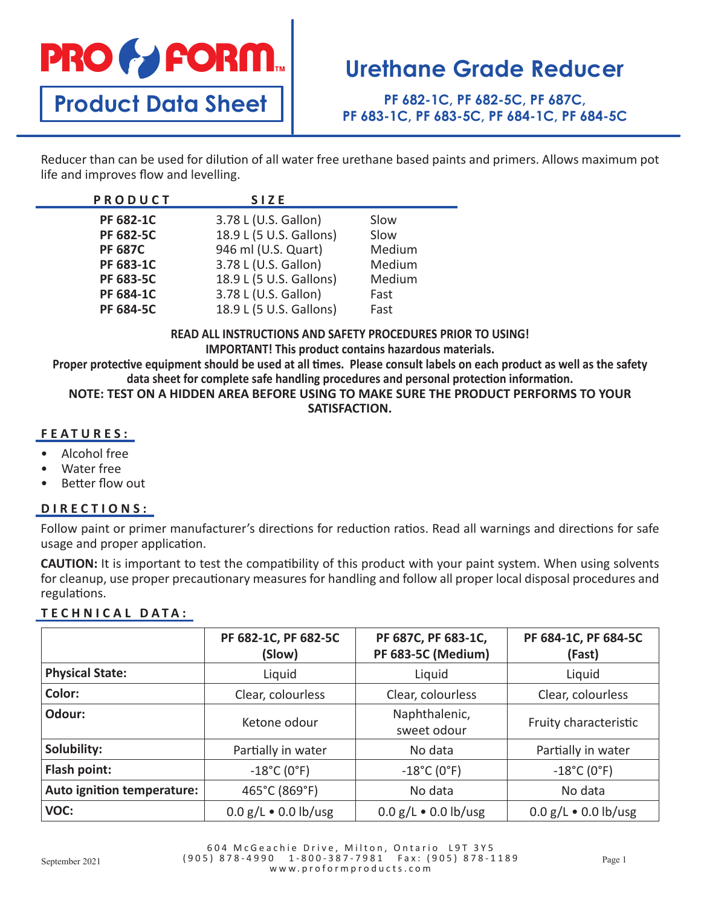# **PRO & FORM**

**Product Data Sheet**

# **Urethane Grade Reducer**

**PF 682-1C, PF 682-5C, PF 687C, PF 683-1C, PF 683-5C, PF 684-1C, PF 684-5C**

Reducer than can be used for dilution of all water free urethane based paints and primers. Allows maximum pot life and improves flow and levelling.

### **READ ALL INSTRUCTIONS AND SAFETY PROCEDURES PRIOR TO USING!**

**IMPORTANT! This product contains hazardous materials.**

**Proper protective equipment should be used at all times. Please consult labels on each product as well as the safety data sheet for complete safe handling procedures and personal protection information.**

### **NOTE: TEST ON A HIDDEN AREA BEFORE USING TO MAKE SURE THE PRODUCT PERFORMS TO YOUR SATISFACTION.**

### **FEATURES:**

- Alcohol free
- Water free
- Better flow out

## **DIRECTIONS:**

Follow paint or primer manufacturer's directions for reduction ratios. Read all warnings and directions for safe usage and proper application.

**CAUTION:** It is important to test the compatibility of this product with your paint system. When using solvents for cleanup, use proper precautionary measures for handling and follow all proper local disposal procedures and regulations.

### **TECHNICAL DATA:**

|                            | PF 682-1C, PF 682-5C<br>(Slow)   | PF 687C, PF 683-1C,<br>PF 683-5C (Medium) | PF 684-1C, PF 684-5C<br>(Fast)   |
|----------------------------|----------------------------------|-------------------------------------------|----------------------------------|
| <b>Physical State:</b>     | Liquid                           | Liquid                                    | Liquid                           |
| Color:                     | Clear, colourless                | Clear, colourless                         | Clear, colourless                |
| Odour:                     | Ketone odour                     | Naphthalenic,<br>sweet odour              | Fruity characteristic            |
| Solubility:                | Partially in water               | No data                                   | Partially in water               |
| Flash point:               | $-18^{\circ}$ C (0 $^{\circ}$ F) | $-18^{\circ}$ C (0 $^{\circ}$ F)          | $-18^{\circ}$ C (0 $^{\circ}$ F) |
| Auto ignition temperature: | 465°C (869°F)                    | No data                                   | No data                          |
| VOC:                       | $0.0 g/L \cdot 0.0 lb/usg$       | $0.0 g/L \cdot 0.0 lb/usg$                | $0.0 g/L \cdot 0.0 lb/usg$       |